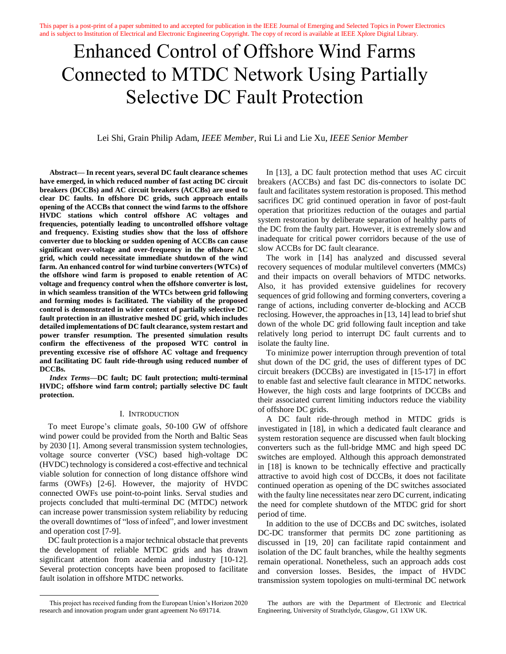# Enhanced Control of Offshore Wind Farms Connected to MTDC Network Using Partially Selective DC Fault Protection

Lei Shi, Grain Philip Adam, *IEEE Member*, Rui Li and Lie Xu, *IEEE Senior Member*

**Abstract— In recent years, several DC fault clearance schemes have emerged, in which reduced number of fast acting DC circuit breakers (DCCBs) and AC circuit breakers (ACCBs) are used to clear DC faults. In offshore DC grids, such approach entails opening of the ACCBs that connect the wind farms to the offshore HVDC stations which control offshore AC voltages and frequencies, potentially leading to uncontrolled offshore voltage and frequency. Existing studies show that the loss of offshore converter due to blocking or sudden opening of ACCBs can cause significant over-voltage and over-frequency in the offshore AC grid, which could necessitate immediate shutdown of the wind farm. An enhanced control for wind turbine converters (WTCs) of the offshore wind farm is proposed to enable retention of AC voltage and frequency control when the offshore converter is lost, in which seamless transition of the WTCs between grid following and forming modes is facilitated. The viability of the proposed control is demonstrated in wider context of partially selective DC fault protection in an illustrative meshed DC grid, which includes detailed implementations of DC fault clearance, system restart and power transfer resumption. The presented simulation results confirm the effectiveness of the proposed WTC control in preventing excessive rise of offshore AC voltage and frequency and facilitating DC fault ride-through using reduced number of DCCBs.** 

*Index Terms***—DC fault; DC fault protection; multi-terminal HVDC; offshore wind farm control; partially selective DC fault protection.**

## I. INTRODUCTION

To meet Europe's climate goals, 50-100 GW of offshore wind power could be provided from the North and Baltic Seas by 2030 [1]. Among several transmission system technologies, voltage source converter (VSC) based high-voltage DC (HVDC) technology is considered a cost-effective and technical viable solution for connection of long distance offshore wind farms (OWFs) [2-6]. However, the majority of HVDC connected OWFs use point-to-point links. Serval studies and projects concluded that multi-terminal DC (MTDC) network can increase power transmission system reliability by reducing the overall downtimes of "loss of infeed", and lower investment and operation cost [7-9].

DC fault protection is a major technical obstacle that prevents the development of reliable MTDC grids and has drawn significant attention from academia and industry [10-12]. Several protection concepts have been proposed to facilitate fault isolation in offshore MTDC networks.

 $\overline{a}$ 

In [13], a DC fault protection method that uses AC circuit breakers (ACCBs) and fast DC dis-connectors to isolate DC fault and facilitates system restoration is proposed. This method sacrifices DC grid continued operation in favor of post-fault operation that prioritizes reduction of the outages and partial system restoration by deliberate separation of healthy parts of the DC from the faulty part. However, it is extremely slow and inadequate for critical power corridors because of the use of slow ACCBs for DC fault clearance.

The work in [14] has analyzed and discussed several recovery sequences of modular multilevel converters (MMCs) and their impacts on overall behaviors of MTDC networks. Also, it has provided extensive guidelines for recovery sequences of grid following and forming converters, covering a range of actions, including converter de-blocking and ACCB reclosing. However, the approaches in [13, 14] lead to brief shut down of the whole DC grid following fault inception and take relatively long period to interrupt DC fault currents and to isolate the faulty line.

To minimize power interruption through prevention of total shut down of the DC grid, the uses of different types of DC circuit breakers (DCCBs) are investigated in [15-17] in effort to enable fast and selective fault clearance in MTDC networks. However, the high costs and large footprints of DCCBs and their associated current limiting inductors reduce the viability of offshore DC grids.

A DC fault ride-through method in MTDC grids is investigated in [18], in which a dedicated fault clearance and system restoration sequence are discussed when fault blocking converters such as the full-bridge MMC and high speed DC switches are employed. Although this approach demonstrated in [18] is known to be technically effective and practically attractive to avoid high cost of DCCBs, it does not facilitate continued operation as opening of the DC switches associated with the faulty line necessitates near zero DC current, indicating the need for complete shutdown of the MTDC grid for short period of time.

In addition to the use of DCCBs and DC switches, isolated DC-DC transformer that permits DC zone partitioning as discussed in [19, 20] can facilitate rapid containment and isolation of the DC fault branches, while the healthy segments remain operational. Nonetheless, such an approach adds cost and conversion losses. Besides, the impact of HVDC transmission system topologies on multi-terminal DC network

The authors are with the Department of Electronic and Electrical Engineering, University of Strathclyde, Glasgow, G1 1XW UK.

This project has received funding from the European Union's Horizon 2020 research and innovation program under grant agreement No 691714.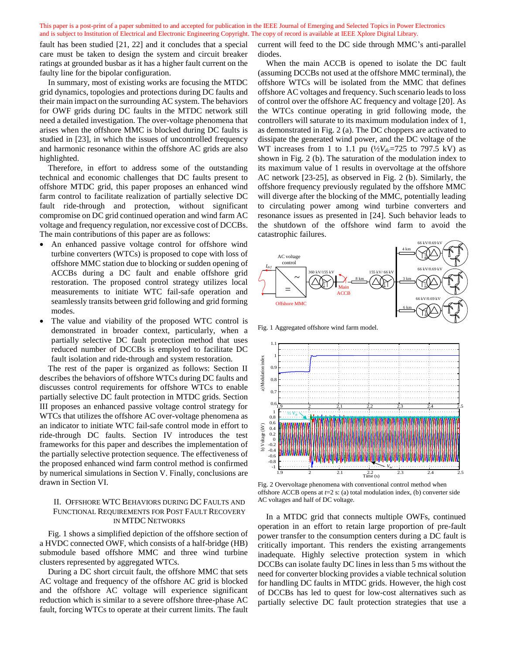fault has been studied [21, 22] and it concludes that a special care must be taken to design the system and circuit breaker ratings at grounded busbar as it has a higher fault current on the faulty line for the bipolar configuration.

In summary, most of existing works are focusing the MTDC grid dynamics, topologies and protections during DC faults and their main impact on the surrounding AC system. The behaviors for OWF grids during DC faults in the MTDC network still need a detailed investigation. The over-voltage phenomena that arises when the offshore MMC is blocked during DC faults is studied in [23], in which the issues of uncontrolled frequency and harmonic resonance within the offshore AC grids are also highlighted.

Therefore, in effort to address some of the outstanding technical and economic challenges that DC faults present to offshore MTDC grid, this paper proposes an enhanced wind farm control to facilitate realization of partially selective DC fault ride-through and protection, without significant compromise on DC grid continued operation and wind farm AC voltage and frequency regulation, nor excessive cost of DCCBs. The main contributions of this paper are as follows:

- An enhanced passive voltage control for offshore wind turbine converters (WTCs) is proposed to cope with loss of offshore MMC station due to blocking or sudden opening of ACCBs during a DC fault and enable offshore grid restoration. The proposed control strategy utilizes local measurements to initiate WTC fail-safe operation and seamlessly transits between grid following and grid forming modes.
- The value and viability of the proposed WTC control is demonstrated in broader context, particularly, when a partially selective DC fault protection method that uses reduced number of DCCBs is employed to facilitate DC fault isolation and ride-through and system restoration.

The rest of the paper is organized as follows: Section II describes the behaviors of offshore WTCs during DC faults and discusses control requirements for offshore WTCs to enable partially selective DC fault protection in MTDC grids. Section III proposes an enhanced passive voltage control strategy for WTCs that utilizes the offshore AC over-voltage phenomena as an indicator to initiate WTC fail-safe control mode in effort to ride-through DC faults. Section IV introduces the test frameworks for this paper and describes the implementation of the partially selective protection sequence. The effectiveness of the proposed enhanced wind farm control method is confirmed by numerical simulations in Section V. Finally, conclusions are drawn in Section VI.

# II. OFFSHORE WTC BEHAVIORS DURING DC FAULTS AND FUNCTIONAL REQUIREMENTS FOR POST FAULT RECOVERY IN MTDC NETWORKS

[Fig. 1](#page-1-0) shows a simplified depiction of the offshore section of a HVDC connected OWF, which consists of a half-bridge (HB) submodule based offshore MMC and three wind turbine clusters represented by aggregated WTCs.

During a DC short circuit fault, the offshore MMC that sets AC voltage and frequency of the offshore AC grid is blocked and the offshore AC voltage will experience significant reduction which is similar to a severe offshore three-phase AC fault, forcing WTCs to operate at their current limits. The fault

current will feed to the DC side through MMC's anti-parallel diodes.

When the main ACCB is opened to isolate the DC fault (assuming DCCBs not used at the offshore MMC terminal), the offshore WTCs will be isolated from the MMC that defines offshore AC voltages and frequency. Such scenario leads to loss of control over the offshore AC frequency and voltage [20]. As the WTCs continue operating in grid following mode, the controllers will saturate to its maximum modulation index of 1, as demonstrated in [Fig. 2](#page-1-1) (a). The DC choppers are activated to dissipate the generated wind power, and the DC voltage of the WT increases from 1 to 1.1 pu  $(\frac{1}{2}V_{dc}=725$  to 797.5 kV) as shown in [Fig. 2](#page-1-1) (b). The saturation of the modulation index to its maximum value of 1 results in overvoltage at the offshore AC network [23-25], as observed in [Fig. 2](#page-1-1) (b). Similarly, the offshore frequency previously regulated by the offshore MMC will diverge after the blocking of the MMC, potentially leading to circulating power among wind turbine converters and resonance issues as presented in [24]. Such behavior leads to the shutdown of the offshore wind farm to avoid the catastrophic failures.



<span id="page-1-0"></span>Fig. 1 Aggregated offshore wind farm model.



<span id="page-1-1"></span>Fig. 2 Overvoltage phenomena with conventional control method when offshore ACCB opens at *t*=2 s: (a) total modulation index, (b) converter side AC voltages and half of DC voltage.

In a MTDC grid that connects multiple OWFs, continued operation in an effort to retain large proportion of pre-fault power transfer to the consumption centers during a DC fault is critically important. This renders the existing arrangements inadequate. Highly selective protection system in which DCCBs can isolate faulty DC lines in less than 5 ms without the need for converter blocking provides a viable technical solution for handling DC faults in MTDC grids. However, the high cost of DCCBs has led to quest for low-cost alternatives such as partially selective DC fault protection strategies that use a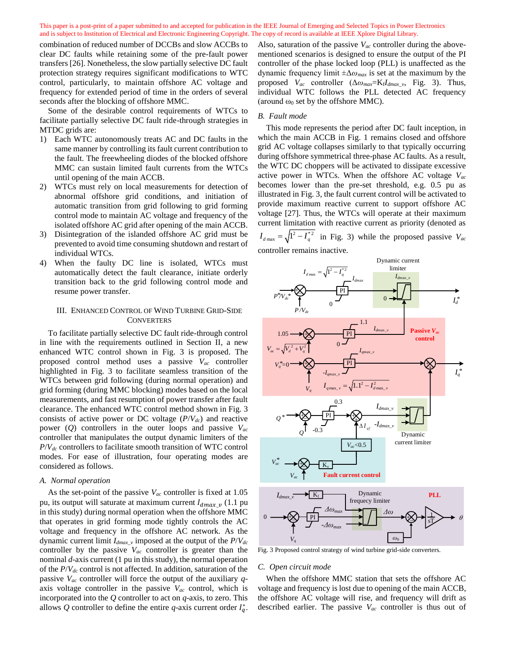combination of reduced number of DCCBs and slow ACCBs to clear DC faults while retaining some of the pre-fault power transfers [26]. Nonetheless, the slow partially selective DC fault protection strategy requires significant modifications to WTC control, particularly, to maintain offshore AC voltage and frequency for extended period of time in the orders of several seconds after the blocking of offshore MMC.

Some of the desirable control requirements of WTCs to facilitate partially selective DC fault ride-through strategies in MTDC grids are:

- 1) Each WTC autonomously treats AC and DC faults in the same manner by controlling its fault current contribution to the fault. The freewheeling diodes of the blocked offshore MMC can sustain limited fault currents from the WTCs until opening of the main ACCB.
- 2) WTCs must rely on local measurements for detection of abnormal offshore grid conditions, and initiation of automatic transition from grid following to grid forming control mode to maintain AC voltage and frequency of the isolated offshore AC grid after opening of the main ACCB.
- 3) Disintegration of the islanded offshore AC grid must be prevented to avoid time consuming shutdown and restart of individual WTCs.
- 4) When the faulty DC line is isolated, WTCs must automatically detect the fault clearance, initiate orderly transition back to the grid following control mode and resume power transfer.

# III. ENHANCED CONTROL OF WIND TURBINE GRID-SIDE **CONVERTERS**

To facilitate partially selective DC fault ride-through control in line with the requirements outlined in Section II, a new enhanced WTC control shown in [Fig. 3](#page-2-0) is proposed. The proposed control method uses a passive *Vac* controller highlighted in [Fig. 3](#page-2-0) to facilitate seamless transition of the WTCs between grid following (during normal operation) and grid forming (during MMC blocking) modes based on the local measurements, and fast resumption of power transfer after fault clearance. The enhanced WTC control method shown i[n Fig. 3](#page-2-0) consists of active power or DC voltage (*P*/*Vdc*) and reactive power  $(Q)$  controllers in the outer loops and passive  $V_{ac}$ controller that manipulates the output dynamic limiters of the *P*/*Vdc* controllers to facilitate smooth transition of WTC control modes. For ease of illustration, four operating modes are considered as follows.

# *A. Normal operation*

As the set-point of the passive *Vac* controller is fixed at 1.05 pu, its output will saturate at maximum current  $I_{dmax_{v}}(1.1 \text{ pu})$ in this study) during normal operation when the offshore MMC that operates in grid forming mode tightly controls the AC voltage and frequency in the offshore AC network. As the dynamic current limit *Idmax\_v* imposed at the output of the *P*/*Vdc* controller by the passive *Vac* controller is greater than the nominal *d*-axis current (1 pu in this study), the normal operation of the *P*/*Vdc* control is not affected. In addition, saturation of the passive *Vac* controller will force the output of the auxiliary *q*axis voltage controller in the passive  $V_{ac}$  control, which is incorporated into the *Q* controller to act on *q*-axis, to zero. This allows Q controller to define the entire q-axis current order  $I_q^*$ .

Also, saturation of the passive *Vac* controller during the abovementioned scenarios is designed to ensure the output of the PI controller of the phase locked loop (PLL) is unaffected as the dynamic frequency limit ±Δ*ωmax* is set at the maximum by the proposed *Vac* controller (Δ*ωmax*=Kf*Idmax\_v*, [Fig. 3\)](#page-2-0). Thus, individual WTC follows the PLL detected AC frequency (around  $\omega_0$  set by the offshore MMC).

# *B. Fault mode*

This mode represents the period after DC fault inception, in which the main ACCB in [Fig. 1](#page-1-0) remains closed and offshore grid AC voltage collapses similarly to that typically occurring during offshore symmetrical three-phase AC faults. As a result, the WTC DC choppers will be activated to dissipate excessive active power in WTCs. When the offshore AC voltage *Vac* becomes lower than the pre-set threshold, e.g. 0.5 pu as illustrated i[n Fig. 3,](#page-2-0) the fault current control will be activated to provide maximum reactive current to support offshore AC voltage [27]. Thus, the WTCs will operate at their maximum current limitation with reactive current as priority (denoted as

 $I_{d \text{ max}} = \sqrt{1^2 - I_q^{*2}}$  in [Fig. 3\)](#page-2-0) while the proposed passive  $V_{ac}$ controller remains inactive.



<span id="page-2-0"></span>Fig. 3 Proposed control strategy of wind turbine grid-side converters.

#### *C. Open circuit mode*

When the offshore MMC station that sets the offshore AC voltage and frequency is lost due to opening of the main ACCB, the offshore AC voltage will rise, and frequency will drift as described earlier. The passive *Vac* controller is thus out of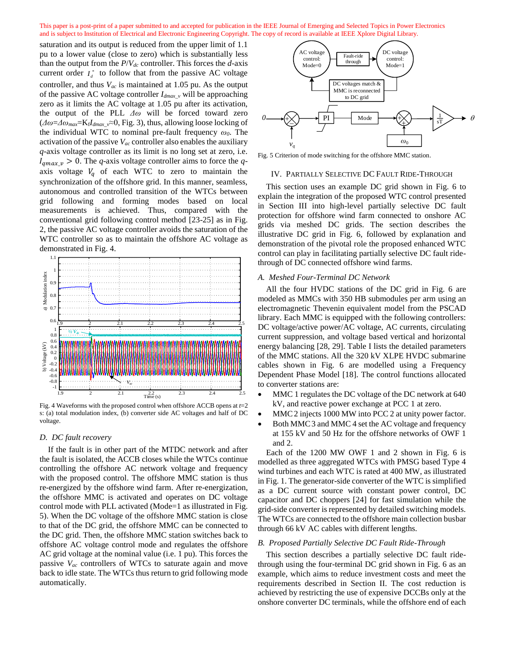saturation and its output is reduced from the upper limit of 1.1 pu to a lower value (close to zero) which is substantially less than the output from the  $P/V_{dc}$  controller. This forces the *d*-axis current order  $I_d^*$  to follow that from the passive AC voltage controller, and thus *Vac* is maintained at 1.05 pu. As the output of the passive AC voltage controller *Idmax\_v* will be approaching zero as it limits the AC voltage at 1.05 pu after its activation, the output of the PLL *Δω* will be forced toward zero (*Δω*=*Δωmax*=Kf*Idmax\_v*≈0[, Fig. 3\)](#page-2-0), thus, allowing loose locking of the individual WTC to nominal pre-fault frequency *ω0*. The activation of the passive *Vac* controller also enables the auxiliary *q*-axis voltage controller as its limit is no long set at zero, i.e.  $I_{qmax_y} > 0$ . The *q*-axis voltage controller aims to force the *q*axis voltage  $V_a$  of each WTC to zero to maintain the synchronization of the offshore grid. In this manner, seamless, autonomous and controlled transition of the WTCs between grid following and forming modes based on local measurements is achieved. Thus, compared with the conventional grid following control method [23-25] as in [Fig.](#page-1-1)  [2,](#page-1-1) the passive AC voltage controller avoids the saturation of the WTC controller so as to maintain the offshore AC voltage as demonstrated i[n Fig. 4.](#page-3-0)



<span id="page-3-0"></span>Fig. 4 Waveforms with the proposed control when offshore ACCB opens at *t*=2 s: (a) total modulation index, (b) converter side AC voltages and half of DC voltage.

## *D. DC fault recovery*

If the fault is in other part of the MTDC network and after the fault is isolated, the ACCB closes while the WTCs continue controlling the offshore AC network voltage and frequency with the proposed control. The offshore MMC station is thus re-energized by the offshore wind farm. After re-energization, the offshore MMC is activated and operates on DC voltage control mode with PLL activated (Mode=1 as illustrated in [Fig.](#page-3-1)  [5\)](#page-3-1). When the DC voltage of the offshore MMC station is close to that of the DC grid, the offshore MMC can be connected to the DC grid. Then, the offshore MMC station switches back to offshore AC voltage control mode and regulates the offshore AC grid voltage at the nominal value (i.e. 1 pu). This forces the passive *Vac* controllers of WTCs to saturate again and move back to idle state. The WTCs thus return to grid following mode automatically.



<span id="page-3-1"></span>Fig. 5 Criterion of mode switching for the offshore MMC station.

#### IV. PARTIALLY SELECTIVE DC FAULT RIDE-THROUGH

This section uses an example DC grid shown in [Fig. 6](#page-4-0) to explain the integration of the proposed WTC control presented in Section III into high-level partially selective DC fault protection for offshore wind farm connected to onshore AC grids via meshed DC grids. The section describes the illustrative DC grid in [Fig. 6,](#page-4-0) followed by explanation and demonstration of the pivotal role the proposed enhanced WTC control can play in facilitating partially selective DC fault ridethrough of DC connected offshore wind farms.

# *A. Meshed Four-Terminal DC Network*

All the four HVDC stations of the DC grid in [Fig. 6](#page-4-0) are modeled as MMCs with 350 HB submodules per arm using an electromagnetic Thevenin equivalent model from the PSCAD library. Each MMC is equipped with the following controllers: DC voltage/active power/AC voltage, AC currents, circulating current suppression, and voltage based vertical and horizontal energy balancing [28, 29]. Table I lists the detailed parameters of the MMC stations. All the 320 kV XLPE HVDC submarine cables shown in [Fig. 6](#page-4-0) are modelled using a Frequency Dependent Phase Model [18]. The control functions allocated to converter stations are:

- MMC 1 regulates the DC voltage of the DC network at 640 kV, and reactive power exchange at PCC 1 at zero.
- MMC2 injects 1000 MW into PCC 2 at unity power factor.
- Both MMC3 and MMC 4 set the AC voltage and frequency at 155 kV and 50 Hz for the offshore networks of OWF 1 and 2.

Each of the 1200 MW OWF 1 and 2 shown in [Fig. 6](#page-4-0) is modelled as three aggregated WTCs with PMSG based Type 4 wind turbines and each WTC is rated at 400 MW, as illustrated in [Fig. 1.](#page-1-0) The generator-side converter of the WTC is simplified as a DC current source with constant power control, DC capacitor and DC choppers [24] for fast simulation while the grid-side converter is represented by detailed switching models. The WTCs are connected to the offshore main collection busbar through 66 kV AC cables with different lengths.

#### *B. Proposed Partially Selective DC Fault Ride-Through*

This section describes a partially selective DC fault ridethrough using the four-terminal DC grid shown in [Fig. 6](#page-4-0) as an example, which aims to reduce investment costs and meet the requirements described in Section II. The cost reduction is achieved by restricting the use of expensive DCCBs only at the onshore converter DC terminals, while the offshore end of each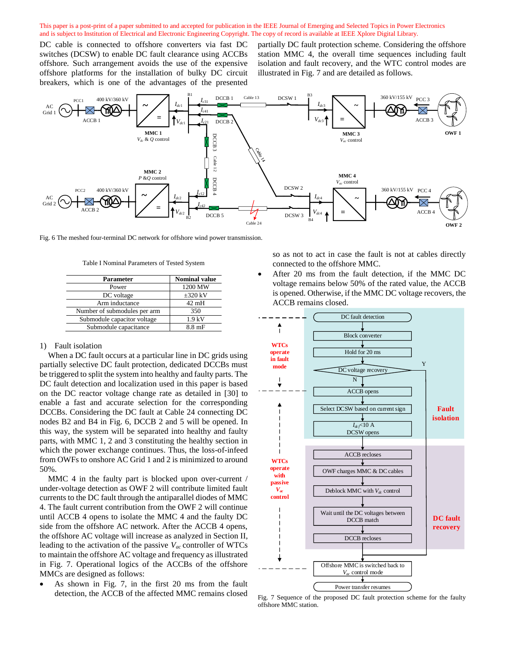DC cable is connected to offshore converters via fast DC switches (DCSW) to enable DC fault clearance using ACCBs offshore*.* Such arrangement avoids the use of the expensive offshore platforms for the installation of bulky DC circuit breakers, which is one of the advantages of the presented

partially DC fault protection scheme. Considering the offshore station MMC 4, the overall time sequences including fault isolation and fault recovery, and the WTC control modes are illustrated in [Fig. 7](#page-4-1) and are detailed as follows.



<span id="page-4-0"></span>Fig. 6 The meshed four-terminal DC network for offshore wind power transmission.

Table I Nominal Parameters of Tested System

| <b>Parameter</b>             | <b>Nominal value</b> |
|------------------------------|----------------------|
| Power                        | 1200 MW              |
| DC voltage                   | $\pm 320$ kV         |
| Arm inductance               | $42 \text{ mH}$      |
| Number of submodules per arm | 350                  |
| Submodule capacitor voltage  | 1.9 kV               |
| Submodule capacitance        | $8.8 \text{ mF}$     |

## 1) Fault isolation

When a DC fault occurs at a particular line in DC grids using partially selective DC fault protection, dedicated DCCBs must be triggered to split the system into healthy and faulty parts. The DC fault detection and localization used in this paper is based on the DC reactor voltage change rate as detailed in [30] to enable a fast and accurate selection for the corresponding DCCBs. Considering the DC fault at Cable 24 connecting DC nodes B2 and B4 in [Fig. 6,](#page-4-0) DCCB 2 and 5 will be opened. In this way, the system will be separated into healthy and faulty parts, with MMC 1, 2 and 3 constituting the healthy section in which the power exchange continues. Thus, the loss-of-infeed from OWFs to onshore AC Grid 1 and 2 is minimized to around 50%.

MMC 4 in the faulty part is blocked upon over-current / under-voltage detection as OWF 2 will contribute limited fault currents to the DC fault through the antiparallel diodes of MMC 4. The fault current contribution from the OWF 2 will continue until ACCB 4 opens to isolate the MMC 4 and the faulty DC side from the offshore AC network. After the ACCB 4 opens, the offshore AC voltage will increase as analyzed in Section II, leading to the activation of the passive *Vac* controller of WTCs to maintain the offshore AC voltage and frequency as illustrated in [Fig. 7.](#page-4-1) Operational logics of the ACCBs of the offshore MMCs are designed as follows:

 As shown in [Fig. 7,](#page-4-1) in the first 20 ms from the fault detection, the ACCB of the affected MMC remains closed so as not to act in case the fault is not at cables directly connected to the offshore MMC.

 After 20 ms from the fault detection, if the MMC DC voltage remains below 50% of the rated value, the ACCB is opened. Otherwise, if the MMC DC voltage recovers, the ACCB remains closed.



<span id="page-4-1"></span>Fig. 7 Sequence of the proposed DC fault protection scheme for the faulty offshore MMC station.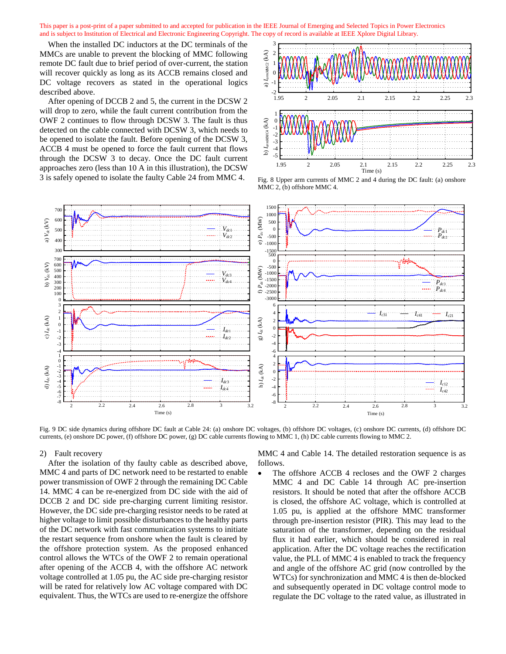When the installed DC inductors at the DC terminals of the MMCs are unable to prevent the blocking of MMC following remote DC fault due to brief period of over-current, the station will recover quickly as long as its ACCB remains closed and DC voltage recovers as stated in the operational logics described above.

After opening of DCCB 2 and 5, the current in the DCSW 2 will drop to zero, while the fault current contribution from the OWF 2 continues to flow through DCSW 3. The fault is thus detected on the cable connected with DCSW 3, which needs to be opened to isolate the fault. Before opening of the DCSW 3, ACCB 4 must be opened to force the fault current that flows through the DCSW 3 to decay. Once the DC fault current approaches zero (less than 10 A in this illustration), the DCSW 3 is safely opened to isolate the faulty Cable 24 from MMC 4.



<span id="page-5-0"></span>Fig. 8 Upper arm currents of MMC 2 and 4 during the DC fault: (a) onshore MMC 2, (b) offshore MMC 4.



<span id="page-5-1"></span>Fig. 9 DC side dynamics during offshore DC fault at Cable 24: (a) onshore DC voltages, (b) offshore DC voltages, (c) onshore DC currents, (d) offshore DC currents, (e) onshore DC power, (f) offshore DC power, (g) DC cable currents flowing to MMC 1, (h) DC cable currents flowing to MMC 2.

## 2) Fault recovery

After the isolation of thy faulty cable as described above, MMC 4 and parts of DC network need to be restarted to enable power transmission of OWF 2 through the remaining DC Cable 14. MMC 4 can be re-energized from DC side with the aid of DCCB 2 and DC side pre-charging current limiting resistor. However, the DC side pre-charging resistor needs to be rated at higher voltage to limit possible disturbances to the healthy parts of the DC network with fast communication systems to initiate the restart sequence from onshore when the fault is cleared by the offshore protection system. As the proposed enhanced control allows the WTCs of the OWF 2 to remain operational after opening of the ACCB 4, with the offshore AC network voltage controlled at 1.05 pu, the AC side pre-charging resistor will be rated for relatively low AC voltage compared with DC equivalent. Thus, the WTCs are used to re-energize the offshore MMC 4 and Cable 14. The detailed restoration sequence is as follows.

 The offshore ACCB 4 recloses and the OWF 2 charges MMC 4 and DC Cable 14 through AC pre-insertion resistors. It should be noted that after the offshore ACCB is closed, the offshore AC voltage, which is controlled at 1.05 pu, is applied at the offshore MMC transformer through pre-insertion resistor (PIR). This may lead to the saturation of the transformer, depending on the residual flux it had earlier, which should be considered in real application. After the DC voltage reaches the rectification value, the PLL of MMC 4 is enabled to track the frequency and angle of the offshore AC grid (now controlled by the WTCs) for synchronization and MMC 4 is then de-blocked and subsequently operated in DC voltage control mode to regulate the DC voltage to the rated value, as illustrated in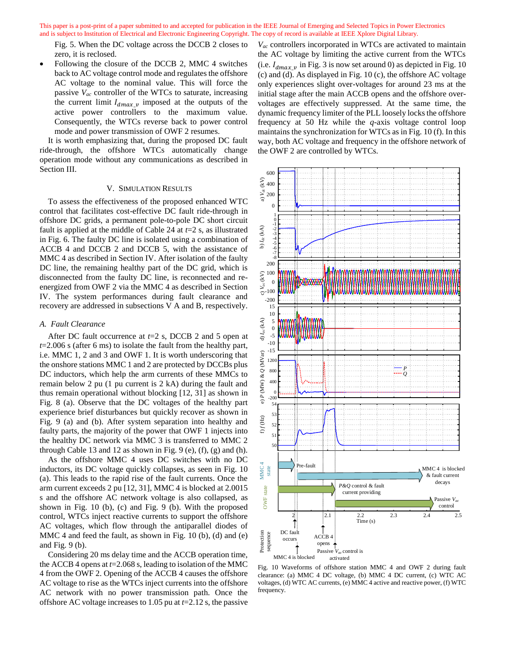[Fig. 5.](#page-3-1) When the DC voltage across the DCCB 2 closes to zero, it is reclosed.

 Following the closure of the DCCB 2, MMC 4 switches back to AC voltage control mode and regulates the offshore AC voltage to the nominal value. This will force the passive *Vac* controller of the WTCs to saturate, increasing the current limit  $I_{dmax_v}$  imposed at the outputs of the active power controllers to the maximum value. Consequently, the WTCs reverse back to power control mode and power transmission of OWF 2 resumes.

It is worth emphasizing that, during the proposed DC fault ride-through, the offshore WTCs automatically change operation mode without any communications as described in Section III.

## V. SIMULATION RESULTS

To assess the effectiveness of the proposed enhanced WTC control that facilitates cost-effective DC fault ride-through in offshore DC grids, a permanent pole-to-pole DC short circuit fault is applied at the middle of Cable 24 at *t*=2 s, as illustrated in [Fig. 6.](#page-4-0) The faulty DC line is isolated using a combination of ACCB 4 and DCCB 2 and DCCB 5, with the assistance of MMC 4 as described in Section IV. After isolation of the faulty DC line, the remaining healthy part of the DC grid, which is disconnected from the faulty DC line, is reconnected and reenergized from OWF 2 via the MMC 4 as described in Section IV. The system performances during fault clearance and recovery are addressed in subsections V A and B, respectively.

## *A. Fault Clearance*

After DC fault occurrence at *t*=2 s, DCCB 2 and 5 open at *t*=2.006 s (after 6 ms) to isolate the fault from the healthy part, i.e. MMC 1, 2 and 3 and OWF 1. It is worth underscoring that the onshore stations MMC 1 and 2 are protected by DCCBs plus DC inductors, which help the arm currents of these MMCs to remain below 2 pu (1 pu current is 2 kA) during the fault and thus remain operational without blocking [12, 31] as shown in [Fig. 8](#page-5-0) (a). Observe that the DC voltages of the healthy part experience brief disturbances but quickly recover as shown in [Fig. 9](#page-5-1) (a) and (b). After system separation into healthy and faulty parts, the majority of the power that OWF 1 injects into the healthy DC network via MMC 3 is transferred to MMC 2 through Cable 13 and 12 as shown in [Fig. 9](#page-5-1) (e), (f), (g) and (h).

As the offshore MMC 4 uses DC switches with no DC inductors, its DC voltage quickly collapses, as seen in [Fig. 10](#page-6-0) (a). This leads to the rapid rise of the fault currents. Once the arm current exceeds 2 pu [12, 31], MMC 4 is blocked at 2.0015 s and the offshore AC network voltage is also collapsed, as shown in [Fig. 10](#page-6-0) (b), (c) and [Fig. 9](#page-5-1) (b). With the proposed control, WTCs inject reactive currents to support the offshore AC voltages, which flow through the antiparallel diodes of MMC 4 and feed the fault, as shown in [Fig. 10](#page-6-0) (b), (d) and (e) and [Fig. 9](#page-5-1) (b).

Considering 20 ms delay time and the ACCB operation time, the ACCB 4 opens at *t*=2.068 s, leading to isolation of the MMC 4 from the OWF 2. Opening of the ACCB 4 causes the offshore AC voltage to rise as the WTCs inject currents into the offshore AC network with no power transmission path. Once the offshore AC voltage increases to 1.05 pu at *t*=2.12 s, the passive *Vac* controllers incorporated in WTCs are activated to maintain the AC voltage by limiting the active current from the WTCs (i.e.  $I_{dmax_v}$  i[n Fig. 3](#page-2-0) is now set around 0) as depicted i[n Fig. 10](#page-6-0) (c) and (d). As displayed i[n Fig. 10](#page-6-0) (c), the offshore AC voltage only experiences slight over-voltages for around 23 ms at the initial stage after the main ACCB opens and the offshore overvoltages are effectively suppressed. At the same time, the dynamic frequency limiter of the PLL loosely locks the offshore frequency at 50 Hz while the *q*-axis voltage control loop maintains the synchronization for WTCs as in [Fig. 10](#page-6-0) (f). In this way, both AC voltage and frequency in the offshore network of the OWF 2 are controlled by WTCs.



<span id="page-6-0"></span>Fig. 10 Waveforms of offshore station MMC 4 and OWF 2 during fault clearance: (a) MMC 4 DC voltage, (b) MMC 4 DC current, (c) WTC AC voltages, (d) WTC AC currents, (e) MMC 4 active and reactive power, (f) WTC frequency.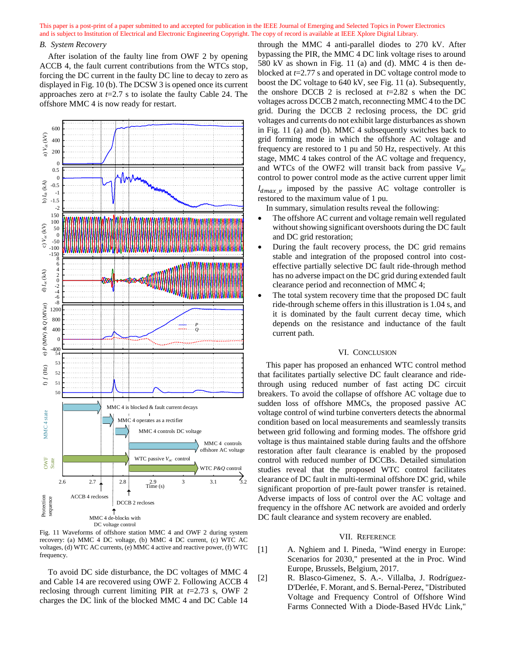## *B. System Recovery*

After isolation of the faulty line from OWF 2 by opening ACCB 4, the fault current contributions from the WTCs stop, forcing the DC current in the faulty DC line to decay to zero as displayed i[n Fig. 10](#page-6-0) (b). The DCSW 3 is opened once its current approaches zero at *t*=2.7 s to isolate the faulty Cable 24. The offshore MMC 4 is now ready for restart.



<span id="page-7-0"></span>Fig. 11 Waveforms of offshore station MMC 4 and OWF 2 during system recovery: (a) MMC 4 DC voltage, (b) MMC 4 DC current, (c) WTC AC voltages, (d) WTC AC currents, (e) MMC 4 active and reactive power, (f) WTC frequency.

To avoid DC side disturbance, the DC voltages of MMC 4 and Cable 14 are recovered using OWF 2. Following ACCB 4 reclosing through current limiting PIR at *t*=2.73 s, OWF 2 charges the DC link of the blocked MMC 4 and DC Cable 14 through the MMC 4 anti-parallel diodes to 270 kV. After bypassing the PIR, the MMC 4 DC link voltage rises to around 580 kV as shown in [Fig. 11](#page-7-0) (a) and (d). MMC 4 is then deblocked at *t*=2.77 s and operated in DC voltage control mode to boost the DC voltage to 640 kV, see [Fig. 11](#page-7-0) (a). Subsequently, the onshore DCCB 2 is reclosed at  $t=2.82$  s when the DC voltages across DCCB 2 match, reconnecting MMC 4 to the DC grid. During the DCCB 2 reclosing process, the DC grid voltages and currents do not exhibit large disturbances as shown in [Fig. 11](#page-7-0) (a) and (b). MMC 4 subsequently switches back to grid forming mode in which the offshore AC voltage and frequency are restored to 1 pu and 50 Hz, respectively. At this stage, MMC 4 takes control of the AC voltage and frequency, and WTCs of the OWF2 will transit back from passive *Vac* control to power control mode as the active current upper limit  $I_{dmax\_v}$  imposed by the passive AC voltage controller is restored to the maximum value of 1 pu.

In summary, simulation results reveal the following:

- The offshore AC current and voltage remain well regulated without showing significant overshoots during the DC fault and DC grid restoration;
- During the fault recovery process, the DC grid remains stable and integration of the proposed control into costeffective partially selective DC fault ride-through method has no adverse impact on the DC grid during extended fault clearance period and reconnection of MMC 4;
- The total system recovery time that the proposed DC fault ride-through scheme offers in this illustration is 1.04 s, and it is dominated by the fault current decay time, which depends on the resistance and inductance of the fault current path.

# VI. CONCLUSION

This paper has proposed an enhanced WTC control method that facilitates partially selective DC fault clearance and ridethrough using reduced number of fast acting DC circuit breakers. To avoid the collapse of offshore AC voltage due to sudden loss of offshore MMCs, the proposed passive AC voltage control of wind turbine converters detects the abnormal condition based on local measurements and seamlessly transits between grid following and forming modes. The offshore grid voltage is thus maintained stable during faults and the offshore restoration after fault clearance is enabled by the proposed control with reduced number of DCCBs. Detailed simulation studies reveal that the proposed WTC control facilitates clearance of DC fault in multi-terminal offshore DC grid, while significant proportion of pre-fault power transfer is retained. Adverse impacts of loss of control over the AC voltage and frequency in the offshore AC network are avoided and orderly DC fault clearance and system recovery are enabled.

# VII. REFERENCE

- [1] A. Nghiem and I. Pineda, "Wind energy in Europe: Scenarios for 2030," presented at the in Proc. Wind Europe, Brussels, Belgium, 2017.
- [2] R. Blasco-Gimenez, S. A.-. Villalba, J. Rodríguez-D'Derlée, F. Morant, and S. Bernal-Perez, "Distributed Voltage and Frequency Control of Offshore Wind Farms Connected With a Diode-Based HVdc Link,"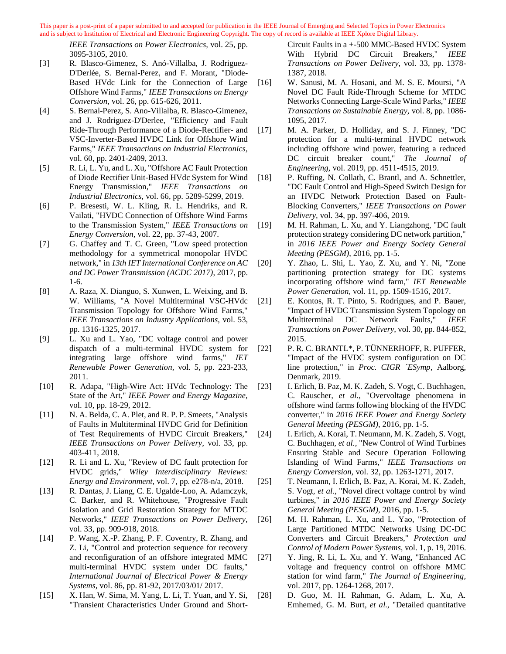*IEEE Transactions on Power Electronics,* vol. 25, pp. 3095-3105, 2010.

- [3] R. Blasco-Gimenez, S. Anó-Villalba, J. Rodriguez-D'Derlée, S. Bernal-Perez, and F. Morant, "Diode-Based HVdc Link for the Connection of Large Offshore Wind Farms," *IEEE Transactions on Energy Conversion,* vol. 26, pp. 615-626, 2011.
- [4] S. Bernal-Perez, S. Ano-Villalba, R. Blasco-Gimenez, and J. Rodriguez-D'Derlee, "Efficiency and Fault Ride-Through Performance of a Diode-Rectifier- and VSC-Inverter-Based HVDC Link for Offshore Wind Farms," *IEEE Transactions on Industrial Electronics,*  vol. 60, pp. 2401-2409, 2013.
- [5] R. Li, L. Yu, and L. Xu, "Offshore AC Fault Protection of Diode Rectifier Unit-Based HVdc System for Wind Energy Transmission," *IEEE Transactions on Industrial Electronics,* vol. 66, pp. 5289-5299, 2019.
- [6] P. Bresesti, W. L. Kling, R. L. Hendriks, and R. Vailati, "HVDC Connection of Offshore Wind Farms to the Transmission System," *IEEE Transactions on Energy Conversion,* vol. 22, pp. 37-43, 2007.
- [7] G. Chaffey and T. C. Green, "Low speed protection methodology for a symmetrical monopolar HVDC network," in *13th IET International Conference on AC and DC Power Transmission (ACDC 2017)*, 2017, pp. 1-6.
- [8] A. Raza, X. Dianguo, S. Xunwen, L. Weixing, and B. W. Williams, "A Novel Multiterminal VSC-HVdc Transmission Topology for Offshore Wind Farms," *IEEE Transactions on Industry Applications,* vol. 53, pp. 1316-1325, 2017.
- [9] L. Xu and L. Yao, "DC voltage control and power dispatch of a multi-terminal HVDC system for integrating large offshore wind farms," *IET Renewable Power Generation,* vol. 5, pp. 223-233, 2011.
- [10] R. Adapa, "High-Wire Act: HVdc Technology: The State of the Art," *IEEE Power and Energy Magazine,*  vol. 10, pp. 18-29, 2012.
- [11] N. A. Belda, C. A. Plet, and R. P. P. Smeets, "Analysis of Faults in Multiterminal HVDC Grid for Definition of Test Requirements of HVDC Circuit Breakers," *IEEE Transactions on Power Delivery,* vol. 33, pp. 403-411, 2018.
- [12] R. Li and L. Xu, "Review of DC fault protection for HVDC grids," *Wiley Interdisciplinary Reviews: Energy and Environment,* vol. 7, pp. e278-n/a, 2018.
- [13] R. Dantas, J. Liang, C. E. Ugalde-Loo, A. Adamczyk, C. Barker, and R. Whitehouse, "Progressive Fault Isolation and Grid Restoration Strategy for MTDC Networks," *IEEE Transactions on Power Delivery,*  vol. 33, pp. 909-918, 2018.
- [14] P. Wang, X.-P. Zhang, P. F. Coventry, R. Zhang, and Z. Li, "Control and protection sequence for recovery and reconfiguration of an offshore integrated MMC multi-terminal HVDC system under DC faults," *International Journal of Electrical Power & Energy Systems,* vol. 86, pp. 81-92, 2017/03/01/ 2017.
- [15] X. Han, W. Sima, M. Yang, L. Li, T. Yuan, and Y. Si, "Transient Characteristics Under Ground and Short-

Circuit Faults in a +-500 MMC-Based HVDC System With Hybrid DC Circuit Breakers," *IEEE Transactions on Power Delivery,* vol. 33, pp. 1378- 1387, 2018.

- [16] W. Sanusi, M. A. Hosani, and M. S. E. Moursi, "A Novel DC Fault Ride-Through Scheme for MTDC Networks Connecting Large-Scale Wind Parks," *IEEE Transactions on Sustainable Energy,* vol. 8, pp. 1086- 1095, 2017.
- [17] M. A. Parker, D. Holliday, and S. J. Finney, "DC protection for a multi-terminal HVDC network including offshore wind power, featuring a reduced DC circuit breaker count," *The Journal of Engineering,* vol. 2019, pp. 4511-4515, 2019.
- [18] P. Ruffing, N. Collath, C. Brantl, and A. Schnettler, "DC Fault Control and High-Speed Switch Design for an HVDC Network Protection Based on Fault-Blocking Converters," *IEEE Transactions on Power Delivery,* vol. 34, pp. 397-406, 2019.
- [19] M. H. Rahman, L. Xu, and Y. Liangzhong, "DC fault protection strategy considering DC network partition," in *2016 IEEE Power and Energy Society General Meeting (PESGM)*, 2016, pp. 1-5.
- [20] Y. Zhao, L. Shi, L. Yao, Z. Xu, and Y. Ni, "Zone partitioning protection strategy for DC systems incorporating offshore wind farm," *IET Renewable Power Generation,* vol. 11, pp. 1509-1516, 2017.
- [21] E. Kontos, R. T. Pinto, S. Rodrigues, and P. Bauer, "Impact of HVDC Transmission System Topology on Multiterminal DC Network Faults," *IEEE Transactions on Power Delivery,* vol. 30, pp. 844-852, 2015.
- [22] P. R. C. BRANTL\*, P. TÜNNERHOFF, R. PUFFER, "Impact of the HVDC system configuration on DC line protection," in *Proc. CIGR ´ESymp*, Aalborg, Denmark, 2019.
- [23] I. Erlich, B. Paz, M. K. Zadeh, S. Vogt, C. Buchhagen, C. Rauscher*, et al.*, "Overvoltage phenomena in offshore wind farms following blocking of the HVDC converter," in *2016 IEEE Power and Energy Society General Meeting (PESGM)*, 2016, pp. 1-5.
- [24] I. Erlich, A. Korai, T. Neumann, M. K. Zadeh, S. Vogt, C. Buchhagen*, et al.*, "New Control of Wind Turbines Ensuring Stable and Secure Operation Following Islanding of Wind Farms," *IEEE Transactions on Energy Conversion,* vol. 32, pp. 1263-1271, 2017.
- [25] T. Neumann, I. Erlich, B. Paz, A. Korai, M. K. Zadeh, S. Vogt*, et al.*, "Novel direct voltage control by wind turbines," in *2016 IEEE Power and Energy Society General Meeting (PESGM)*, 2016, pp. 1-5.
- [26] M. H. Rahman, L. Xu, and L. Yao, "Protection of Large Partitioned MTDC Networks Using DC-DC Converters and Circuit Breakers," *Protection and Control of Modern Power Systems,* vol. 1, p. 19, 2016.
- [27] Y. Jing, R. Li, L. Xu, and Y. Wang, "Enhanced AC voltage and frequency control on offshore MMC station for wind farm," *The Journal of Engineering,*  vol. 2017, pp. 1264-1268, 2017.
- [28] D. Guo, M. H. Rahman, G. Adam, L. Xu, A. Emhemed, G. M. Burt*, et al.*, "Detailed quantitative